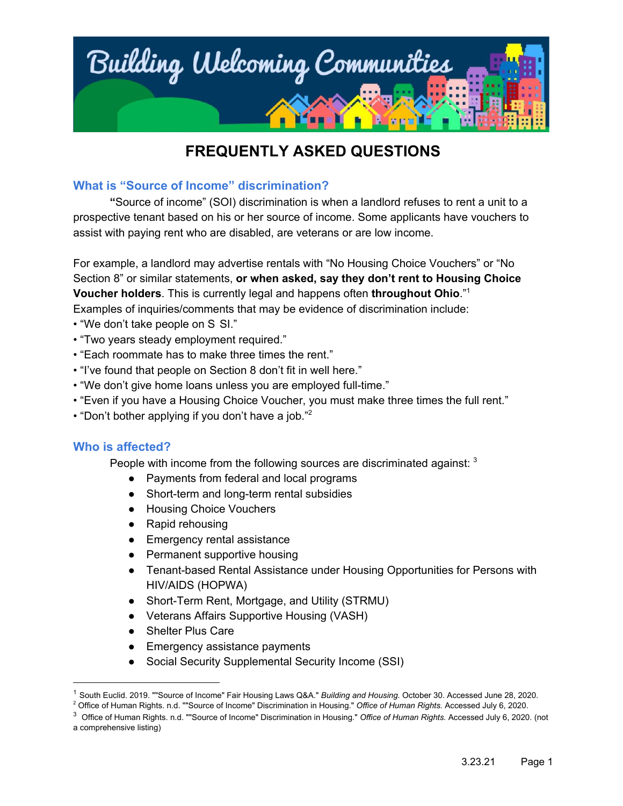

#### **What is "Source of Income" discrimination?**

**"**Source of income" (SOI) discrimination is when a landlord refuses to rent a unit to a prospective tenant based on his or her source of income. Some applicants have vouchers to assist with paying rent who are disabled, are veterans or are low income.

For example, a landlord may advertise rentals with "No Housing Choice Vouchers" or "No Section 8" or similar statements, **or when asked, say they don't rent to Housing Choice Voucher holders**. This is currently legal and happens often **throughout Ohio**." 1 Examples of inquiries/comments that may be evidence of discrimination include:

- "We don't take people on S SI."
- "Two years steady employment required."
- "Each roommate has to make three times the rent."
- "I've found that people on Section 8 don't fit in well here."
- "We don't give home loans unless you are employed full-time."
- "Even if you have a Housing Choice Voucher, you must make three times the full rent."
- "Don't bother applying if you don't have a job." 2

#### **Who is affected?**

People with income from the following sources are discriminated against:  $3$ 

- Payments from federal and local programs
- Short-term and long-term rental subsidies
- Housing Choice Vouchers
- Rapid rehousing
- Emergency rental assistance
- Permanent supportive housing
- Tenant-based Rental Assistance under Housing Opportunities for Persons with HIV/AIDS (HOPWA)
- Short-Term Rent, Mortgage, and Utility (STRMU)
- Veterans Affairs Supportive Housing (VASH)
- Shelter Plus Care
- Emergency assistance payments
- Social Security Supplemental Security Income (SSI)

<sup>1</sup> South Euclid. 2019. ""Source of Income" Fair Housing Laws Q&A." *Building and Housing.* October 30. Accessed June 28, 2020.

<sup>2</sup> Office of Human Rights. n.d. ""Source of Income" Discrimination in Housing." *Office of Human Rights.* Accessed July 6, 2020.

<sup>3</sup> Office of Human Rights. n.d. ""Source of Income" Discrimination in Housing." *Office of Human Rights.* Accessed July 6, 2020. (not a comprehensive listing)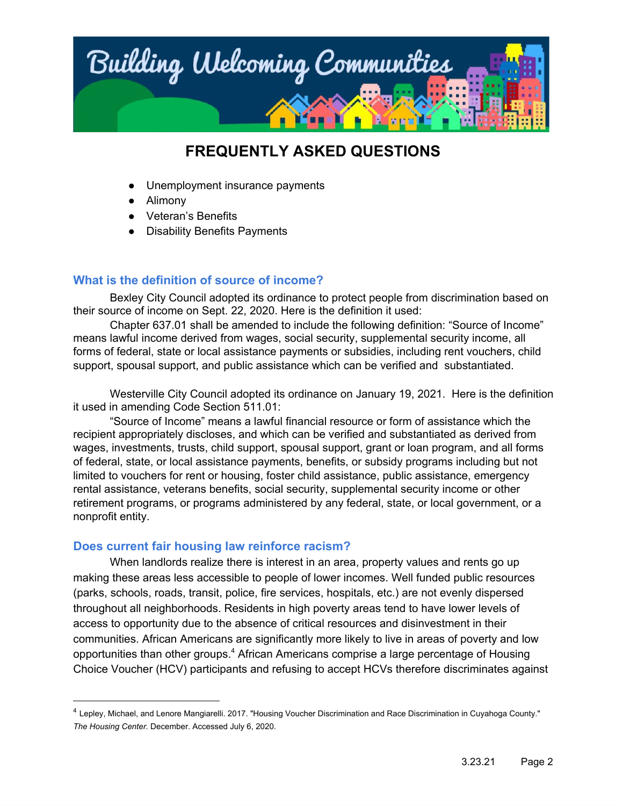

- Unemployment insurance payments
- Alimony
- Veteran's Benefits
- **Disability Benefits Payments**

### **What is the definition of source of income?**

Bexley City Council adopted its ordinance to protect people from discrimination based on their source of income on Sept. 22, 2020. Here is the definition it used:

Chapter 637.01 shall be amended to include the following definition: "Source of Income" means lawful income derived from wages, social security, supplemental security income, all forms of federal, state or local assistance payments or subsidies, including rent vouchers, child support, spousal support, and public assistance which can be verified and substantiated.

Westerville City Council adopted its ordinance on January 19, 2021. Here is the definition it used in amending Code Section 511.01:

"Source of Income" means a lawful financial resource or form of assistance which the recipient appropriately discloses, and which can be verified and substantiated as derived from wages, investments, trusts, child support, spousal support, grant or loan program, and all forms of federal, state, or local assistance payments, benefits, or subsidy programs including but not limited to vouchers for rent or housing, foster child assistance, public assistance, emergency rental assistance, veterans benefits, social security, supplemental security income or other retirement programs, or programs administered by any federal, state, or local government, or a nonprofit entity.

#### **Does current fair housing law reinforce racism?**

When landlords realize there is interest in an area, property values and rents go up making these areas less accessible to people of lower incomes. Well funded public resources (parks, schools, roads, transit, police, fire services, hospitals, etc.) are not evenly dispersed throughout all neighborhoods. Residents in high poverty areas tend to have lower levels of access to opportunity due to the absence of critical resources and disinvestment in their communities. African Americans are significantly more likely to live in areas of poverty and low opportunities than other groups.<sup>4</sup> African Americans comprise a large percentage of Housing Choice Voucher (HCV) participants and refusing to accept HCVs therefore discriminates against

<sup>4</sup> Lepley, Michael, and Lenore Mangiarelli. 2017. "Housing Voucher Discrimination and Race Discrimination in Cuyahoga County." *The Housing Center.* December. Accessed July 6, 2020.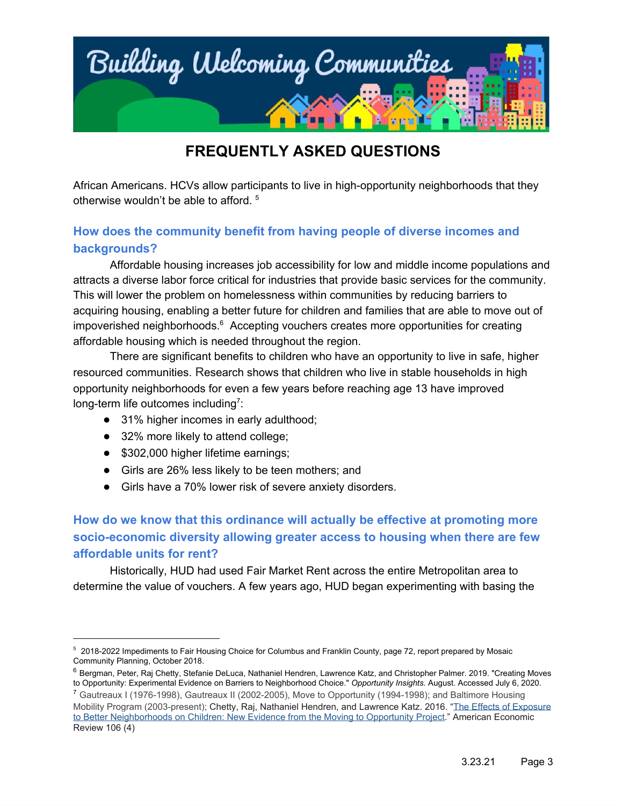

African Americans. HCVs allow participants to live in high-opportunity neighborhoods that they otherwise wouldn't be able to afford. 5

### **How does the community benefit from having people of diverse incomes and backgrounds?**

Affordable housing increases job accessibility for low and middle income populations and attracts a diverse labor force critical for industries that provide basic services for the community. This will lower the problem on homelessness within communities by reducing barriers to acquiring housing, enabling a better future for children and families that are able to move out of impoverished neighborhoods. $6$  Accepting vouchers creates more opportunities for creating affordable housing which is needed throughout the region.

There are significant benefits to children who have an opportunity to live in safe, higher resourced communities. Research shows that children who live in stable households in high opportunity neighborhoods for even a few years before reaching age 13 have improved long-term life outcomes including<sup>7</sup>:

- 31% higher incomes in early adulthood;
- 32% more likely to attend college;
- \$302,000 higher lifetime earnings;
- Girls are 26% less likely to be teen mothers; and
- Girls have a 70% lower risk of severe anxiety disorders.

### **How do we know that this ordinance will actually be effective at promoting more socio-economic diversity allowing greater access to housing when there are few affordable units for rent?**

Historically, HUD had used Fair Market Rent across the entire Metropolitan area to determine the value of vouchers. A few years ago, HUD began experimenting with basing the

<sup>&</sup>lt;sup>5</sup> 2018-2022 Impediments to Fair Housing Choice for Columbus and Franklin County, page 72, report prepared by Mosaic Community Planning, October 2018.

<sup>&</sup>lt;sup>6</sup> Bergman, Peter, Raj Chetty, Stefanie DeLuca, Nathaniel Hendren, Lawrence Katz, and Christopher Palmer. 2019. "Creating Moves to Opportunity: Experimental Evidence on Barriers to Neighborhood Choice." *Opportunity Insights.* August. Accessed July 6, 2020.

<sup>7</sup> Gautreaux I (1976-1998), Gautreaux II (2002-2005), Move to Opportunity (1994-1998); and Baltimore Housing Mobility Program (2003-present); Chetty, Raj, Nathaniel Hendren, and Lawrence Katz. 2016. "[The Effects of Exposure](https://scholar.harvard.edu/hendren/publications/effects-exposure-better-neighborhoods-children-new-evidence-moving-opportunity) [to Better Neighborhoods on Children: New Evidence from the Moving to Opportunity Project](https://scholar.harvard.edu/hendren/publications/effects-exposure-better-neighborhoods-children-new-evidence-moving-opportunity)." American Economic Review 106 (4)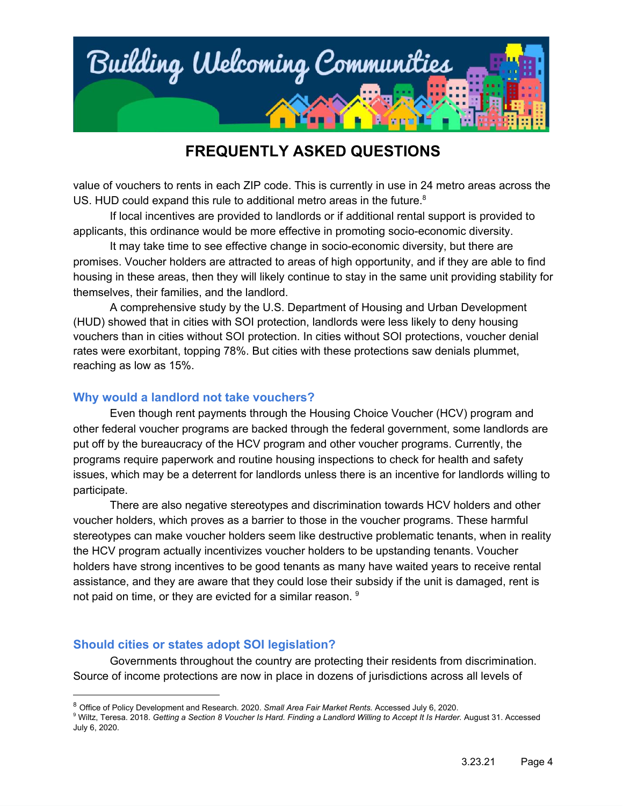

value of vouchers to rents in each ZIP code. This is currently in use in 24 metro areas across the US. HUD could expand this rule to additional metro areas in the future. $8$ 

If local incentives are provided to landlords or if additional rental support is provided to applicants, this ordinance would be more effective in promoting socio-economic diversity.

It may take time to see effective change in socio-economic diversity, but there are promises. Voucher holders are attracted to areas of high opportunity, and if they are able to find housing in these areas, then they will likely continue to stay in the same unit providing stability for themselves, their families, and the landlord.

A comprehensive study by the U.S. Department of Housing and Urban Development (HUD) showed that in cities with SOI protection, landlords were less likely to deny housing vouchers than in cities without SOI protection. In cities without SOI protections, voucher denial rates were exorbitant, topping 78%. But cities with these protections saw denials plummet, reaching as low as 15%.

#### **Why would a landlord not take vouchers?**

Even though rent payments through the Housing Choice Voucher (HCV) program and other federal voucher programs are backed through the federal government, some landlords are put off by the bureaucracy of the HCV program and other voucher programs. Currently, the programs require paperwork and routine housing inspections to check for health and safety issues, which may be a deterrent for landlords unless there is an incentive for landlords willing to participate.

There are also negative stereotypes and discrimination towards HCV holders and other voucher holders, which proves as a barrier to those in the voucher programs. These harmful stereotypes can make voucher holders seem like destructive problematic tenants, when in reality the HCV program actually incentivizes voucher holders to be upstanding tenants. Voucher holders have strong incentives to be good tenants as many have waited years to receive rental assistance, and they are aware that they could lose their subsidy if the unit is damaged, rent is not paid on time, or they are evicted for a similar reason. <sup>9</sup>

#### **Should cities or states adopt SOI legislation?**

Governments throughout the country are protecting their residents from discrimination. Source of income protections are now in place in dozens of jurisdictions across all levels of

<sup>8</sup> Office of Policy Development and Research. 2020. *Small Area Fair Market Rents.* Accessed July 6, 2020.

<sup>&</sup>lt;sup>9</sup> Wiltz, Teresa. 2018. Getting a Section 8 Voucher Is Hard. Finding a Landlord Willing to Accept It Is Harder. August 31. Accessed July 6, 2020.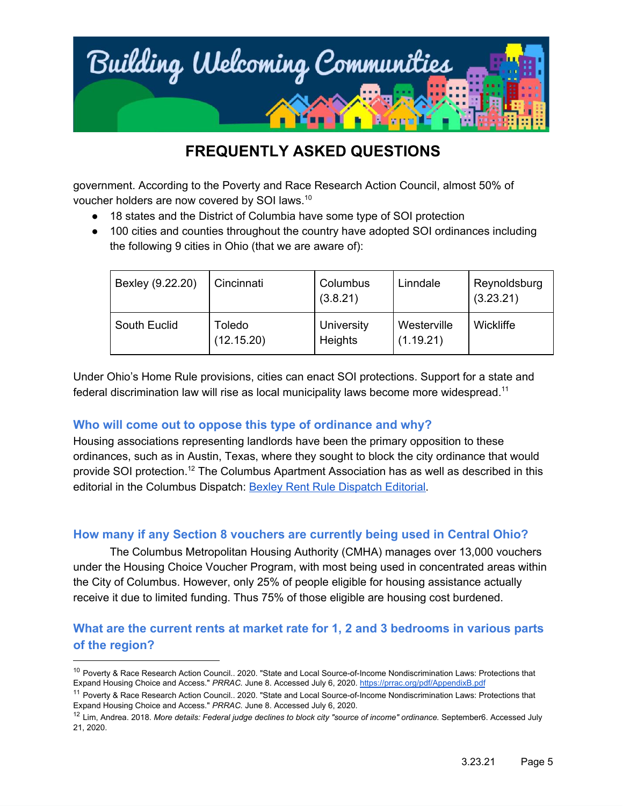

government. According to the Poverty and Race Research Action Council, almost 50% of voucher holders are now covered by SOI laws.<sup>10</sup>

- 18 states and the District of Columbia have some type of SOI protection
- 100 cities and counties throughout the country have adopted SOI ordinances including the following 9 cities in Ohio (that we are aware of):

| Bexley (9.22.20) | Cincinnati           | Columbus<br>(3.8.21)  | Linndale                 | Reynoldsburg<br>(3.23.21) |
|------------------|----------------------|-----------------------|--------------------------|---------------------------|
| South Euclid     | Toledo<br>(12.15.20) | University<br>Heights | Westerville<br>(1.19.21) | <b>Wickliffe</b>          |

Under Ohio's Home Rule provisions, cities can enact SOI protections. Support for a state and federal discrimination law will rise as local municipality laws become more widespread.<sup>11</sup>

### **Who will come out to oppose this type of ordinance and why?**

Housing associations representing landlords have been the primary opposition to these ordinances, such as in Austin, Texas, where they sought to block the city ordinance that would provide SOI protection.<sup>12</sup> The Columbus Apartment Association has as well as described in this editorial in the Columbus [Dispatch](https://www.dispatch.com/story/opinion/editorials/2020/10/20/new-bexley-rent-rule-makes-statement-diversity-and-inclusion/3708893001/): Bexley Rent Rule Dispatch Editorial.

### **How many if any Section 8 vouchers are currently being used in Central Ohio?**

The Columbus Metropolitan Housing Authority (CMHA) manages over 13,000 vouchers under the Housing Choice Voucher Program, with most being used in concentrated areas within the City of Columbus. However, only 25% of people eligible for housing assistance actually receive it due to limited funding. Thus 75% of those eligible are housing cost burdened.

### **What are the current rents at market rate for 1, 2 and 3 bedrooms in various parts of the region?**

<sup>&</sup>lt;sup>10</sup> Poverty & Race Research Action Council.. 2020. "State and Local Source-of-Income Nondiscrimination Laws: Protections that Expand Housing Choice and Access." *PRRAC.* June 8. Accessed July 6, 2020. <https://prrac.org/pdf/AppendixB.pdf>

<sup>&</sup>lt;sup>11</sup> Poverty & Race Research Action Council.. 2020. "State and Local Source-of-Income Nondiscrimination Laws: Protections that Expand Housing Choice and Access." *PRRAC.* June 8. Accessed July 6, 2020.

<sup>12</sup> Lim, Andrea. 2018. *More details: Federal judge declines to block city "source of income" ordinance.* September6. Accessed July 21, 2020.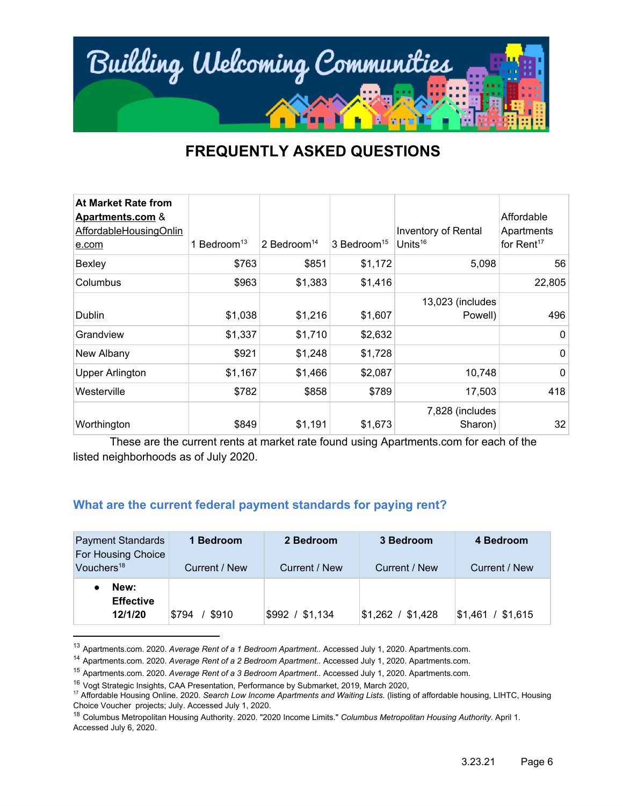

| <b>At Market Rate from</b><br><b>Apartments.com &amp;</b><br>AffordableHousingOnlin<br>e.com | 1 Bedroom <sup>13</sup> | 2 Bedroom <sup>14</sup> | 3 Bedroom <sup>15</sup> | Inventory of Rental<br>Units $16$ | Affordable<br>Apartments<br>for Rent <sup>17</sup> |
|----------------------------------------------------------------------------------------------|-------------------------|-------------------------|-------------------------|-----------------------------------|----------------------------------------------------|
| Bexley                                                                                       | \$763                   | \$851                   | \$1,172                 | 5,098                             | 56                                                 |
| Columbus                                                                                     | \$963                   | \$1,383                 | \$1,416                 |                                   | 22,805                                             |
| Dublin                                                                                       | \$1,038                 | \$1,216                 | \$1,607                 | 13,023 (includes<br>Powell)       | 496                                                |
| Grandview                                                                                    | \$1,337                 | \$1,710                 | \$2,632                 |                                   | 0                                                  |
| New Albany                                                                                   | \$921                   | \$1,248                 | \$1,728                 |                                   | 0                                                  |
| <b>Upper Arlington</b>                                                                       | \$1,167                 | \$1,466                 | \$2,087                 | 10,748                            | 0                                                  |
| Westerville                                                                                  | \$782                   | \$858                   | \$789                   | 17,503                            | 418                                                |
| Worthington                                                                                  | \$849                   | \$1,191                 | \$1,673                 | 7,828 (includes<br>Sharon)        | 32                                                 |

These are the current rents at market rate found using Apartments.com for each of the listed neighborhoods as of July 2020.

#### **What are the current federal payment standards for paying rent?**

| <b>Payment Standards</b><br>For Housing Choice<br>Vouchers <sup>18</sup> | 1 Bedroom<br>Current / New | 2 Bedroom<br>Current / New | 3 Bedroom<br>Current / New | 4 Bedroom<br>Current / New |
|--------------------------------------------------------------------------|----------------------------|----------------------------|----------------------------|----------------------------|
| New:<br><b>Effective</b><br>12/1/20                                      | \$910<br>\$794             | \$992 / \$1,134            | $$1,262$ / $$1,428$        | \$1,461 / \$1,615          |

<sup>13</sup> Apartments.com. 2020. *Average Rent of a 1 Bedroom Apartment..* Accessed July 1, 2020. Apartments.com.

<sup>14</sup> Apartments.com. 2020. *Average Rent of a 2 Bedroom Apartment..* Accessed July 1, 2020. Apartments.com.

<sup>15</sup> Apartments.com. 2020. *Average Rent of a 3 Bedroom Apartment..* Accessed July 1, 2020. Apartments.com.

<sup>&</sup>lt;sup>16</sup> Vogt Strategic Insights, CAA Presentation, Performance by Submarket, 2019, March 2020,

<sup>17</sup> Affordable Housing Online. 2020. *Search Low Income Apartments and Waiting Lists.* (listing of affordable housing, LIHTC, Housing Choice Voucher projects; July. Accessed July 1, 2020.

<sup>18</sup> Columbus Metropolitan Housing Authority. 2020. "2020 Income Limits." *Columbus Metropolitan Housing Authority.* April 1. Accessed July 6, 2020.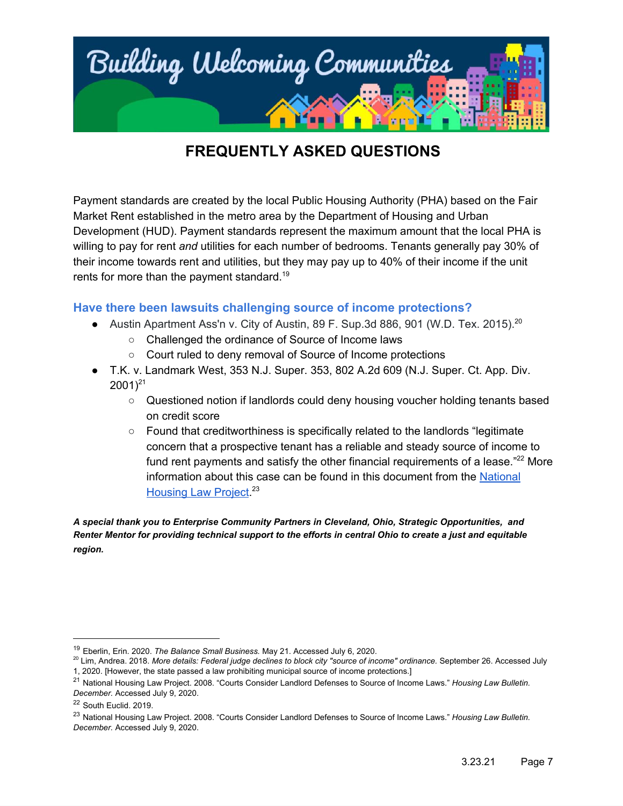

Payment standards are created by the local Public Housing Authority (PHA) based on the Fair Market Rent established in the metro area by the Department of Housing and Urban Development (HUD). Payment standards represent the maximum amount that the local PHA is willing to pay for rent *and* utilities for each number of bedrooms. Tenants generally pay 30% of their income towards rent and utilities, but they may pay up to 40% of their income if the unit rents for more than the payment standard.<sup>19</sup>

### **Have there been lawsuits challenging source of income protections?**

- Austin Apartment Ass'n v. City of Austin, 89 F. Sup.3d 886, 901 (W.D. Tex. 2015). $^{20}$ 
	- Challenged the ordinance of Source of Income laws
	- Court ruled to deny removal of Source of Income protections
- T.K. v. Landmark West, 353 N.J. Super. 353, 802 A.2d 609 (N.J. Super. Ct. App. Div.  $2001)^{21}$ 
	- Questioned notion if landlords could deny housing voucher holding tenants based on credit score
	- Found that creditworthiness is specifically related to the landlords "legitimate concern that a prospective tenant has a reliable and steady source of income to fund rent payments and satisfy the other financial requirements of a lease. $"^{22}$  More information about this case can be found in this document from the [National](http://nhlp.org/files/03%20NHLP_Bull_NovDec08_source%20of%20income%20defense.pdf) [Housing](http://nhlp.org/files/03%20NHLP_Bull_NovDec08_source%20of%20income%20defense.pdf) Law Project<sup>23</sup>

*A special thank you to Enterprise Community Partners in Cleveland, Ohio, Strategic Opportunities, and Renter Mentor for providing technical support to the efforts in central Ohio to create a just and equitable region.*

<sup>19</sup> Eberlin, Erin. 2020. *The Balance Small Business.* May 21. Accessed July 6, 2020.

<sup>20</sup> Lim, Andrea. 2018. *More details: Federal judge declines to block city "source of income" ordinance.* September 26. Accessed July 1, 2020. [However, the state passed a law prohibiting municipal source of income protections.]

<sup>21</sup> National Housing Law Project. 2008. "Courts Consider Landlord Defenses to Source of Income Laws." *Housing Law Bulletin. December.* Accessed July 9, 2020.

<sup>22</sup> South Euclid. 2019.

<sup>23</sup> National Housing Law Project. 2008. "Courts Consider Landlord Defenses to Source of Income Laws." *Housing Law Bulletin. December.* Accessed July 9, 2020.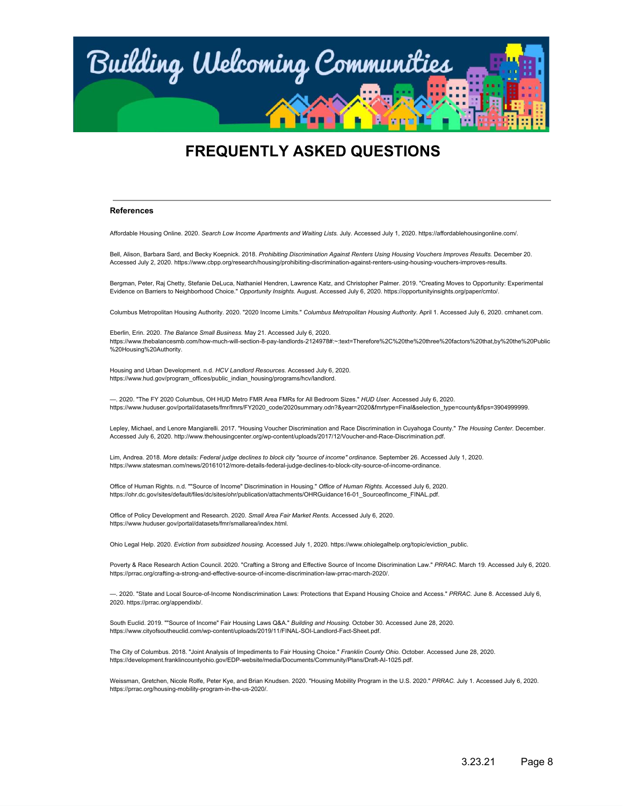

#### **References**

Affordable Housing Online. 2020. *Search Low Income Apartments and Waiting Lists.* July. Accessed July 1, 2020. https://affordablehousingonline.com/.

Bell, Alison, Barbara Sard, and Becky Koepnick. 2018. *Prohibiting Discrimination Against Renters Using Housing Vouchers Improves Results.* December 20. Accessed July 2, 2020. https://www.cbpp.org/research/housing/prohibiting-discrimination-against-renters-using-housing-vouchers-improves-results.

Bergman, Peter, Raj Chetty, Stefanie DeLuca, Nathaniel Hendren, Lawrence Katz, and Christopher Palmer. 2019. "Creating Moves to Opportunity: Experimental Evidence on Barriers to Neighborhood Choice." *Opportunity Insights.* August. Accessed July 6, 2020. https://opportunityinsights.org/paper/cmto/.

Columbus Metropolitan Housing Authority. 2020. "2020 Income Limits." *Columbus Metropolitan Housing Authority.* April 1. Accessed July 6, 2020. cmhanet.com.

Eberlin, Erin. 2020. *The Balance Small Business.* May 21. Accessed July 6, 2020. https://www.thebalancesmb.com/how-much-will-section-8-pay-landlords-2124978#:~:text=Therefore%2C%20the%20three%20factors%20that,by%20the%20Public %20Housing%20Authority.

Housing and Urban Development. n.d. *HCV Landlord Resources.* Accessed July 6, 2020. https://www.hud.gov/program\_offices/public\_indian\_housing/programs/hcv/landlord.

—. 2020. "The FY 2020 Columbus, OH HUD Metro FMR Area FMRs for All Bedroom Sizes." *HUD User.* Accessed July 6, 2020. https://www.huduser.gov/portal/datasets/fmr/fmrs/FY2020\_code/2020summary.odn?&year=2020&fmrtype=Final&selection\_type=county&fips=3904999999.

Lepley, Michael, and Lenore Mangiarelli. 2017. "Housing Voucher Discrimination and Race Discrimination in Cuyahoga County." *The Housing Center.* December. Accessed July 6, 2020. http://www.thehousingcenter.org/wp-content/uploads/2017/12/Voucher-and-Race-Discrimination.pdf.

Lim, Andrea. 2018. *More details: Federal judge declines to block city "source of income" ordinance.* September 26. Accessed July 1, 2020. https://www.statesman.com/news/20161012/more-details-federal-judge-declines-to-block-city-source-of-income-ordinance.

Office of Human Rights. n.d. ""Source of Income" Discrimination in Housing." *Office of Human Rights.* Accessed July 6, 2020. https://ohr.dc.gov/sites/default/files/dc/sites/ohr/publication/attachments/OHRGuidance16-01\_SourceofIncome\_FINAL.pdf.

Office of Policy Development and Research. 2020. *Small Area Fair Market Rents.* Accessed July 6, 2020. https://www.huduser.gov/portal/datasets/fmr/smallarea/index.html.

Ohio Legal Help. 2020. *Eviction from subsidized housing.* Accessed July 1, 2020. https://www.ohiolegalhelp.org/topic/eviction\_public.

Poverty & Race Research Action Council. 2020. "Crafting a Strong and Effective Source of Income Discrimination Law." *PRRAC.* March 19. Accessed July 6, 2020. https://prrac.org/crafting-a-strong-and-effective-source-of-income-discrimination-law-prrac-march-2020/.

—. 2020. "State and Local Source-of-Income Nondiscrimination Laws: Protections that Expand Housing Choice and Access." *PRRAC.* June 8. Accessed July 6, 2020. https://prrac.org/appendixb/.

South Euclid. 2019. ""Source of Income" Fair Housing Laws Q&A." *Building and Housing.* October 30. Accessed June 28, 2020. https://www.cityofsoutheuclid.com/wp-content/uploads/2019/11/FINAL-SOI-Landlord-Fact-Sheet.pdf.

The City of Columbus. 2018. "Joint Analysis of Impediments to Fair Housing Choice." *Franklin County Ohio.* October. Accessed June 28, 2020. https://development.franklincountyohio.gov/EDP-website/media/Documents/Community/Plans/Draft-AI-1025.pdf.

Weissman, Gretchen, Nicole Rolfe, Peter Kye, and Brian Knudsen. 2020. "Housing Mobility Program in the U.S. 2020." *PRRAC.* July 1. Accessed July 6, 2020. https://prrac.org/housing-mobility-program-in-the-us-2020/.